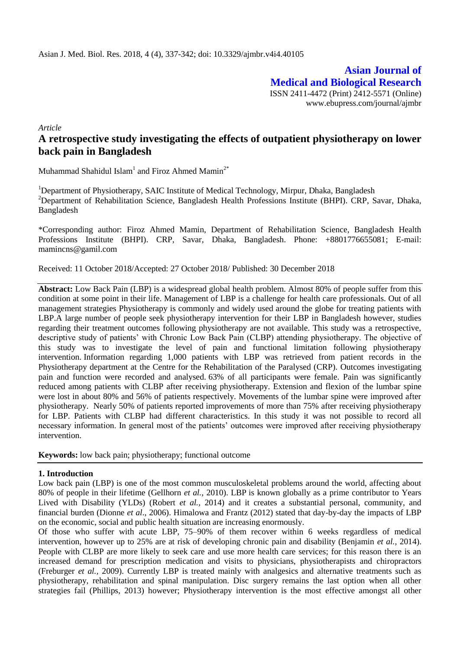**Asian Journal of Medical and Biological Research** ISSN 2411-4472 (Print) 2412-5571 (Online) www.ebupress.com/journal/ajmbr

*Article*

# **A retrospective study investigating the effects of outpatient physiotherapy on lower back pain in Bangladesh**

Muhammad Shahidul Islam<sup>1</sup> and Firoz Ahmed Mamin<sup>2\*</sup>

<sup>1</sup>Department of Physiotherapy, SAIC Institute of Medical Technology, Mirpur, Dhaka, Bangladesh <sup>2</sup>Department of Rehabilitation Science, Bangladesh Health Professions Institute (BHPI). CRP, Savar, Dhaka, Bangladesh

\*Corresponding author: Firoz Ahmed Mamin, Department of Rehabilitation Science, Bangladesh Health Professions Institute (BHPI). CRP, Savar, Dhaka, Bangladesh. Phone: +8801776655081; E-mail: mamincns@gamil.com

Received: 11 October 2018/Accepted: 27 October 2018/ Published: 30 December 2018

**Abstract:** Low Back Pain (LBP) is a widespread global health problem. Almost 80% of people suffer from this condition at some point in their life. Management of LBP is a challenge for health care professionals. Out of all management strategies Physiotherapy is commonly and widely used around the globe for treating patients with LBP.A large number of people seek physiotherapy intervention for their LBP in Bangladesh however, studies regarding their treatment outcomes following physiotherapy are not available. This study was a retrospective, descriptive study of patients' with Chronic Low Back Pain (CLBP) attending physiotherapy. The objective of this study was to investigate the level of pain and functional limitation following physiotherapy intervention. Information regarding 1,000 patients with LBP was retrieved from patient records in the Physiotherapy department at the Centre for the Rehabilitation of the Paralysed (CRP). Outcomes investigating pain and function were recorded and analysed. 63% of all participants were female. Pain was significantly reduced among patients with CLBP after receiving physiotherapy. Extension and flexion of the lumbar spine were lost in about 80% and 56% of patients respectively. Movements of the lumbar spine were improved after physiotherapy. Nearly 50% of patients reported improvements of more than 75% after receiving physiotherapy for LBP. Patients with CLBP had different characteristics. In this study it was not possible to record all necessary information. In general most of the patients' outcomes were improved after receiving physiotherapy intervention.

**Keywords:** low back pain; physiotherapy; functional outcome

## **1. Introduction**

Low back pain (LBP) is one of the most common musculoskeletal problems around the world, affecting about 80% of people in their lifetime (Gellhorn *et al.*, 2010). LBP is known globally as a prime contributor to Years Lived with Disability (YLDs) (Robert *et al.*, 2014) and it creates a substantial personal, community, and financial burden (Dionne *et al*., 2006). Himalowa and Frantz (2012) stated that day-by-day the impacts of LBP on the economic, social and public health situation are increasing enormously.

Of those who suffer with acute LBP, 75–90% of them recover within 6 weeks regardless of medical intervention, however up to 25% are at risk of developing chronic pain and disability (Benjamin *et al.,* 2014). People with CLBP are more likely to seek care and use more health care services; for this reason there is an increased demand for prescription medication and visits to physicians, physiotherapists and chiropractors (Freburger *et al.,* 2009). Currently LBP is treated mainly with analgesics and alternative treatments such as physiotherapy, rehabilitation and spinal manipulation. Disc surgery remains the last option when all other strategies fail (Phillips, 2013) however; Physiotherapy intervention is the most effective amongst all other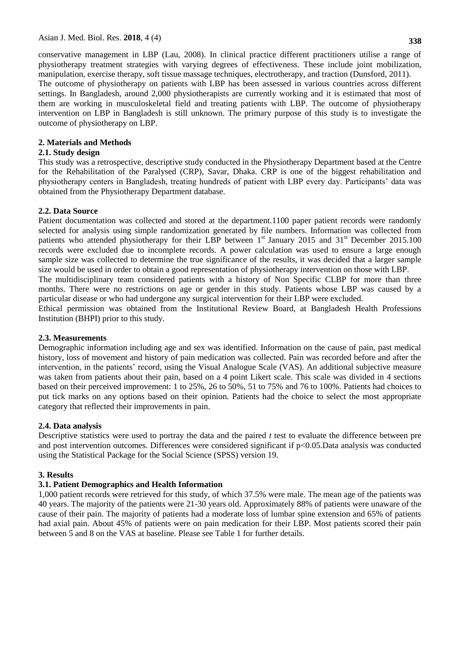conservative management in LBP (Lau, 2008). In clinical practice different practitioners utilise a range of physiotherapy treatment strategies with varying degrees of effectiveness. These include joint mobilization, manipulation, exercise therapy, soft tissue massage techniques, electrotherapy, and traction (Dunsford, 2011). The outcome of physiotherapy on patients with LBP has been assessed in various countries across different settings. In Bangladesh, around 2,000 physiotherapists are currently working and it is estimated that most of them are working in musculoskeletal field and treating patients with LBP. The outcome of physiotherapy intervention on LBP in Bangladesh is still unknown. The primary purpose of this study is to investigate the outcome of physiotherapy on LBP.

## **2. Materials and Methods**

## **2.1. Study design**

This study was a retrospective, descriptive study conducted in the Physiotherapy Department based at the Centre for the Rehabilitation of the Paralysed (CRP), Savar, Dhaka. CRP is one of the biggest rehabilitation and physiotherapy centers in Bangladesh, treating hundreds of patient with LBP every day. Participants' data was obtained from the Physiotherapy Department database.

## **2.2. Data Source**

Patient documentation was collected and stored at the department.1100 paper patient records were randomly selected for analysis using simple randomization generated by file numbers. Information was collected from patients who attended physiotherapy for their LBP between  $1<sup>st</sup>$  January 2015 and 31<sup>st</sup> December 2015.100 records were excluded due to incomplete records. A power calculation was used to ensure a large enough sample size was collected to determine the true significance of the results, it was decided that a larger sample size would be used in order to obtain a good representation of physiotherapy intervention on those with LBP.

The multidisciplinary team considered patients with a history of Non Specific CLBP for more than three months. There were no restrictions on age or gender in this study. Patients whose LBP was caused by a particular disease or who had undergone any surgical intervention for their LBP were excluded.

Ethical permission was obtained from the Institutional Review Board, at Bangladesh Health Professions Institution (BHPI) prior to this study.

## **2.3. Measurements**

Demographic information including age and sex was identified. Information on the cause of pain, past medical history, loss of movement and history of pain medication was collected. Pain was recorded before and after the intervention, in the patients' record, using the Visual Analogue Scale (VAS). An additional subjective measure was taken from patients about their pain, based on a 4 point Likert scale. This scale was divided in 4 sections based on their perceived improvement: 1 to 25%, 26 to 50%, 51 to 75% and 76 to 100%. Patients had choices to put tick marks on any options based on their opinion. Patients had the choice to select the most appropriate category that reflected their improvements in pain.

## **2.4. Data analysis**

Descriptive statistics were used to portray the data and the paired *t* test to evaluate the difference between pre and post intervention outcomes. Differences were considered significant if p<0.05.Data analysis was conducted using the Statistical Package for the Social Science (SPSS) version 19.

# **3. Results**

# **3.1. Patient Demographics and Health Information**

1,000 patient records were retrieved for this study, of which 37.5% were male. The mean age of the patients was 40 years. The majority of the patients were 21-30 years old. Approximately 88% of patients were unaware of the cause of their pain. The majority of patients had a moderate loss of lumbar spine extension and 65% of patients had axial pain. About 45% of patients were on pain medication for their LBP. Most patients scored their pain between 5 and 8 on the VAS at baseline. Please see Table 1 for further details.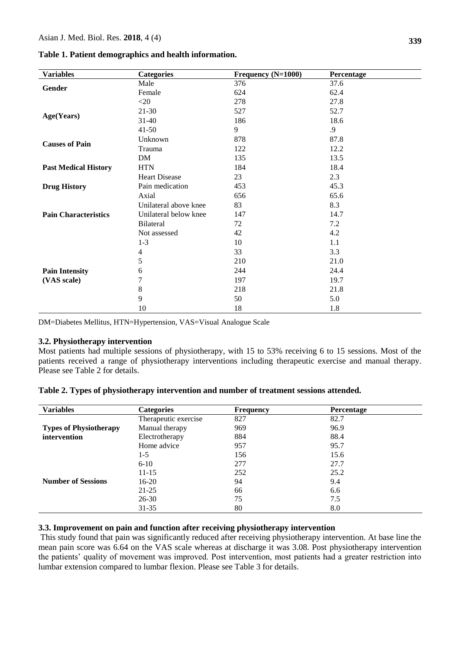#### **Table 1. Patient demographics and health information.**

| <b>Variables</b>            | <b>Categories</b>     | Frequency (N=1000) | Percentage |
|-----------------------------|-----------------------|--------------------|------------|
|                             | Male                  | 376                | 37.6       |
| Gender                      | Female                | 624                | 62.4       |
|                             | $<$ 20                | 278                | 27.8       |
|                             | 21-30                 | 527                | 52.7       |
| Age(Years)                  | $31 - 40$             | 186                | 18.6       |
|                             | $41 - 50$             | 9                  | .9         |
|                             | Unknown               | 878                | 87.8       |
| <b>Causes of Pain</b>       | Trauma                | 122                | 12.2       |
|                             | DM                    | 135                | 13.5       |
| <b>Past Medical History</b> | <b>HTN</b>            | 184                | 18.4       |
|                             | <b>Heart Disease</b>  | 23                 | 2.3        |
| <b>Drug History</b>         | Pain medication       | 453                | 45.3       |
|                             | Axial                 | 656                | 65.6       |
|                             | Unilateral above knee | 83                 | 8.3        |
| <b>Pain Characteristics</b> | Unilateral below knee | 147                | 14.7       |
|                             | <b>Bilateral</b>      | 72                 | 7.2        |
|                             | Not assessed          | 42                 | 4.2        |
|                             | $1 - 3$               | 10                 | 1.1        |
|                             | 4                     | 33                 | 3.3        |
|                             | 5                     | 210                | 21.0       |
| <b>Pain Intensity</b>       | 6                     | 244                | 24.4       |
| (VAS scale)                 | 7                     | 197                | 19.7       |
|                             | 8                     | 218                | 21.8       |
|                             | 9                     | 50                 | 5.0        |
|                             | 10                    | 18                 | 1.8        |

DM=Diabetes Mellitus, HTN=Hypertension, VAS=Visual Analogue Scale

#### **3.2. Physiotherapy intervention**

Most patients had multiple sessions of physiotherapy, with 15 to 53% receiving 6 to 15 sessions. Most of the patients received a range of physiotherapy interventions including therapeutic exercise and manual therapy. Please see Table 2 for details.

| <b>Variables</b>              | <b>Categories</b>    | <b>Frequency</b> | <b>Percentage</b> |  |
|-------------------------------|----------------------|------------------|-------------------|--|
|                               | Therapeutic exercise | 827              | 82.7              |  |
| <b>Types of Physiotherapy</b> | Manual therapy       | 969              | 96.9              |  |
| intervention                  | Electrotherapy       | 884              | 88.4              |  |
|                               | Home advice          | 957              | 95.7              |  |
|                               | $1-5$                | 156              | 15.6              |  |
|                               | $6 - 10$             | 277              | 27.7              |  |
|                               | $11 - 15$            | 252              | 25.2              |  |
| <b>Number of Sessions</b>     | $16-20$              | 94               | 9.4               |  |
|                               | $21 - 25$            | 66               | 6.6               |  |
|                               | $26 - 30$            | 75               | 7.5               |  |
|                               | $31 - 35$            | 80               | 8.0               |  |

**Table 2. Types of physiotherapy intervention and number of treatment sessions attended.** 

## **3.3. Improvement on pain and function after receiving physiotherapy intervention**

This study found that pain was significantly reduced after receiving physiotherapy intervention. At base line the mean pain score was 6.64 on the VAS scale whereas at discharge it was 3.08. Post physiotherapy intervention the patients' quality of movement was improved. Post intervention, most patients had a greater restriction into lumbar extension compared to lumbar flexion. Please see Table 3 for details.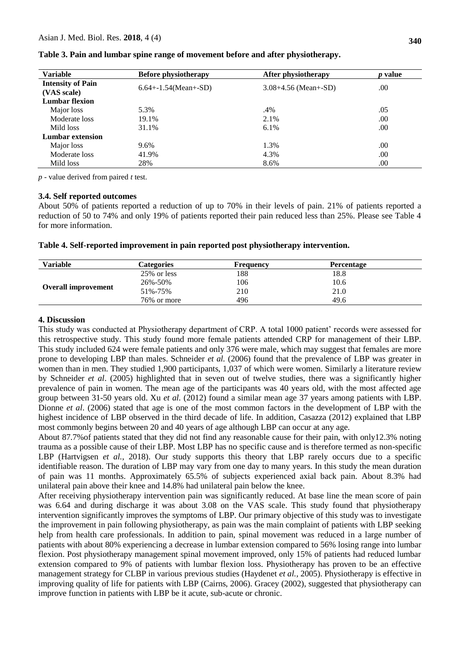| <b>Variable</b>          | <b>Before physiotherapy</b> | After physiotherapy      | <i>p</i> value |  |
|--------------------------|-----------------------------|--------------------------|----------------|--|
| <b>Intensity of Pain</b> | $6.64 + -1.54$ (Mean+-SD)   | $3.08 + 4.56$ (Mean+-SD) | .00            |  |
| (VAS scale)              |                             |                          |                |  |
| <b>Lumbar flexion</b>    |                             |                          |                |  |
| Major loss               | 5.3%                        | .4%                      | .05            |  |
| Moderate loss            | 19.1%                       | 2.1%                     | .00            |  |
| Mild loss                | 31.1%                       | 6.1%                     | .00            |  |
| Lumbar extension         |                             |                          |                |  |
| Major loss               | 9.6%                        | 1.3%                     | .00            |  |
| Moderate loss            | 41.9%                       | 4.3%                     | .00            |  |
| Mild loss                | 28%                         | 8.6%                     | .00            |  |

**Table 3. Pain and lumbar spine range of movement before and after physiotherapy.**

*p* - value derived from paired *t* test.

#### **3.4. Self reported outcomes**

About 50% of patients reported a reduction of up to 70% in their levels of pain. 21% of patients reported a reduction of 50 to 74% and only 19% of patients reported their pain reduced less than 25%. Please see Table 4 for more information.

|  | Table 4. Self-reported improvement in pain reported post physiotherapy intervention. |  |  |  |
|--|--------------------------------------------------------------------------------------|--|--|--|
|  |                                                                                      |  |  |  |

| Variable                   | Categories  | <b>Frequency</b> | <b>Percentage</b> |  |
|----------------------------|-------------|------------------|-------------------|--|
|                            | 25% or less | 188              | 18.8              |  |
| <b>Overall improvement</b> | 26%-50%     | 106              | 10.6              |  |
|                            | 51%-75%     | 210              | 21.0              |  |
|                            | 76% or more | 496              | 49.6              |  |

#### **4. Discussion**

This study was conducted at Physiotherapy department of CRP. A total 1000 patient' records were assessed for this retrospective study. This study found more female patients attended CRP for management of their LBP. This study included 624 were female patients and only 376 were male, which may suggest that females are more prone to developing LBP than males. Schneider *et al.* (2006) found that the prevalence of LBP was greater in women than in men. They studied 1,900 participants, 1,037 of which were women. Similarly a literature review by Schneider *et al*. (2005) highlighted that in seven out of twelve studies, there was a significantly higher prevalence of pain in women. The mean age of the participants was 40 years old, with the most affected age group between 31-50 years old. Xu *et al.* (2012) found a similar mean age 37 years among patients with LBP. Dionne *et al*. (2006) stated that age is one of the most common factors in the development of LBP with the highest incidence of LBP observed in the third decade of life. In addition, Casazza (2012) explained that LBP most commonly begins between 20 and 40 years of age although LBP can occur at any age.

About 87.7%of patients stated that they did not find any reasonable cause for their pain, with only12.3% noting trauma as a possible cause of their LBP. Most LBP has no specific cause and is therefore termed as non-specific LBP (Hartvigsen *et al.*, 2018). Our study supports this theory that LBP rarely occurs due to a specific identifiable reason. The duration of LBP may vary from one day to many years. In this study the mean duration of pain was 11 months. Approximately 65.5% of subjects experienced axial back pain. About 8.3% had unilateral pain above their knee and 14.8% had unilateral pain below the knee.

After receiving physiotherapy intervention pain was significantly reduced. At base line the mean score of pain was 6.64 and during discharge it was about 3.08 on the VAS scale. This study found that physiotherapy intervention significantly improves the symptoms of LBP. Our primary objective of this study was to investigate the improvement in pain following physiotherapy, as pain was the main complaint of patients with LBP seeking help from health care professionals. In addition to pain, spinal movement was reduced in a large number of patients with about 80% experiencing a decrease in lumbar extension compared to 56% losing range into lumbar flexion. Post physiotherapy management spinal movement improved, only 15% of patients had reduced lumbar extension compared to 9% of patients with lumbar flexion loss. Physiotherapy has proven to be an effective management strategy for CLBP in various previous studies (Haydenet *et al.,* 2005). Physiotherapy is effective in improving quality of life for patients with LBP (Cairns, 2006). Gracey (2002), suggested that physiotherapy can improve function in patients with LBP be it acute, sub-acute or chronic.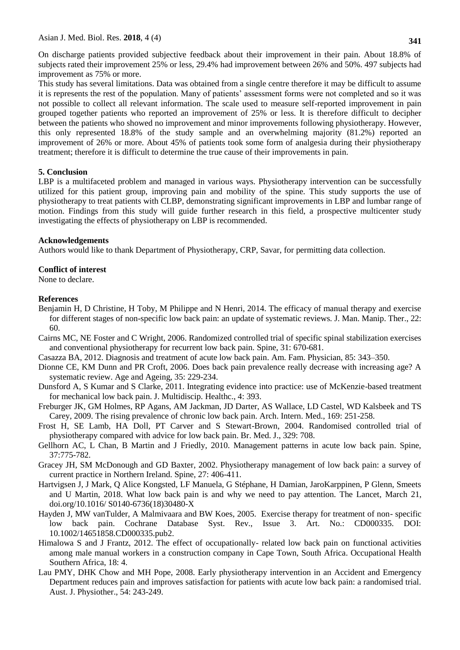Asian J. Med. Biol. Res. **2018**, 4 (4)

On discharge patients provided subjective feedback about their improvement in their pain. About 18.8% of subjects rated their improvement 25% or less, 29.4% had improvement between 26% and 50%. 497 subjects had improvement as 75% or more.

This study has several limitations. Data was obtained from a single centre therefore it may be difficult to assume it is represents the rest of the population. Many of patients' assessment forms were not completed and so it was not possible to collect all relevant information. The scale used to measure self-reported improvement in pain grouped together patients who reported an improvement of 25% or less. It is therefore difficult to decipher between the patients who showed no improvement and minor improvements following physiotherapy. However, this only represented 18.8% of the study sample and an overwhelming majority (81.2%) reported an improvement of 26% or more. About 45% of patients took some form of analgesia during their physiotherapy treatment; therefore it is difficult to determine the true cause of their improvements in pain.

## **5. Conclusion**

LBP is a multifaceted problem and managed in various ways. Physiotherapy intervention can be successfully utilized for this patient group, improving pain and mobility of the spine. This study supports the use of physiotherapy to treat patients with CLBP, demonstrating significant improvements in LBP and lumbar range of motion. Findings from this study will guide further research in this field, a prospective multicenter study investigating the effects of physiotherapy on LBP is recommended.

## **Acknowledgements**

Authors would like to thank Department of Physiotherapy, CRP, Savar, for permitting data collection.

## **Conflict of interest**

None to declare.

## **References**

- Benjamin H, D Christine, H Toby, M Philippe and N Henri, 2014. The efficacy of manual therapy and exercise for different stages of non-specific low back pain: an update of systematic reviews. J. Man. Manip. Ther., 22: 60.
- Cairns MC, NE Foster and C Wright, 2006. Randomized controlled trial of specific spinal stabilization exercises and conventional physiotherapy for recurrent low back pain. Spine, 31: 670-681.
- Casazza BA, 2012. Diagnosis and treatment of acute low back pain. Am. Fam. Physician, 85: 343–350.
- Dionne CE, KM Dunn and PR Croft, 2006. Does back pain prevalence really decrease with increasing age? A systematic review. Age and Ageing, 35: 229-234.
- Dunsford A, S Kumar and S Clarke, 2011. Integrating evidence into practice: use of McKenzie-based treatment for mechanical low back pain. J. Multidiscip. Healthc., 4: 393.
- Freburger JK, GM Holmes, RP Agans, AM Jackman, JD Darter, AS Wallace, LD Castel, WD Kalsbeek and TS Carey, 2009. The rising prevalence of chronic low back pain. Arch. Intern. Med., 169: 251-258.
- Frost H, SE Lamb, HA Doll, PT Carver and S Stewart-Brown, 2004. Randomised controlled trial of physiotherapy compared with advice for low back pain. Br. Med. J., 329: 708.
- Gellhorn AC, L Chan, B Martin and J Friedly, 2010. Management patterns in acute low back pain. Spine, 37:775-782.
- Gracey JH, SM McDonough and GD Baxter, 2002. Physiotherapy management of low back pain: a survey of current practice in Northern Ireland. Spine, 27: 406-411.
- Hartvigsen J, J Mark, Q Alice Kongsted, LF Manuela, G Stéphane, H Damian, JaroKarppinen, P Glenn, Smeets and U Martin, 2018. What low back pain is and why we need to pay attention. The Lancet, March 21, doi.org/10.1016/ S0140-6736(18)30480-X
- Hayden J, MW vanTulder, A Malmivaara and BW Koes, 2005. Exercise therapy for treatment of non- specific low back pain. Cochrane Database Syst. Rev., Issue 3. Art. No.: CD000335. DOI: 10.1002/14651858.CD000335.pub2.
- Himalowa S and J Frantz, 2012. The effect of occupationally- related low back pain on functional activities among male manual workers in a construction company in Cape Town, South Africa. Occupational Health Southern Africa, 18: 4.
- Lau PMY, DHK Chow and MH Pope, 2008. Early physiotherapy intervention in an Accident and Emergency Department reduces pain and improves satisfaction for patients with acute low back pain: a randomised trial. Aust. J. Physiother., 54: 243-249.